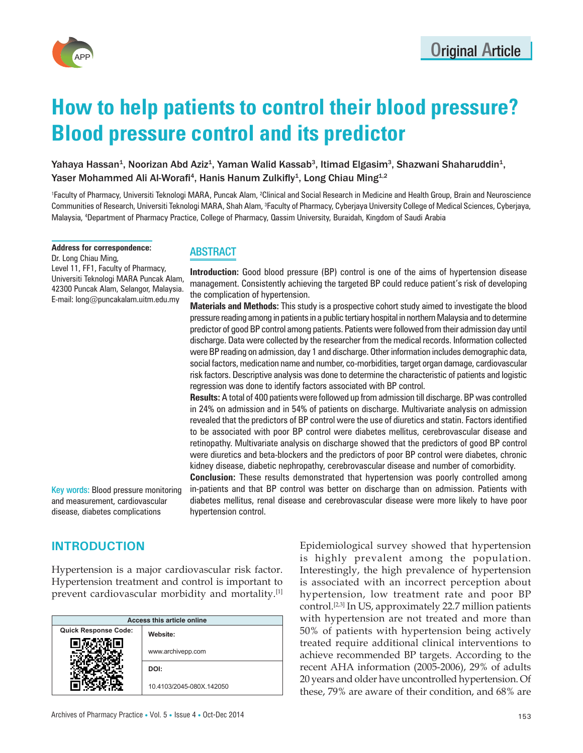

# **How to help patients to control their blood pressure? Blood pressure control and its predictor**

Yahaya Hassan<sup>1</sup>, Noorizan Abd Aziz<sup>1</sup>, Yaman Walid Kassab<sup>3</sup>, Itimad Elgasim<sup>3</sup>, Shazwani Shaharuddin<sup>1</sup>, Yaser Mohammed Ali Al-Worafi<sup>4</sup>, Hanis Hanum Zulkifly<sup>1</sup>, Long Chiau Ming<sup>1,2</sup>

<sup>1</sup>Faculty of Pharmacy, Universiti Teknologi MARA, Puncak Alam, <sup>2</sup>Clinical and Social Research in Medicine and Health Group, Brain and Neuroscience Communities of Research, Universiti Teknologi MARA, Shah Alam, <sup>3</sup>Faculty of Pharmacy, Cyberjaya University College of Medical Sciences, Cyberjaya, Malaysia, <sup>4</sup>Department of Pharmacy Practice, College of Pharmacy, Qassim University, Buraidah, Kingdom of Saudi Arabia

#### **Address for correspondence:**

Dr. Long Chiau Ming, Level 11, FF1, Faculty of Pharmacy, Universiti Teknologi MARA Puncak Alam, 42300 Puncak Alam, Selangor, Malaysia. E-mail: long@puncakalam.uitm.edu.my

## ABSTRACT

**Introduction:** Good blood pressure (BP) control is one of the aims of hypertension disease management. Consistently achieving the targeted BP could reduce patient's risk of developing the complication of hypertension.

**Materials and Methods:** This study is a prospective cohort study aimed to investigate the blood pressure reading among in patients in a public tertiary hospital in northern Malaysia and to determine predictor of good BP control among patients. Patients were followed from their admission day until discharge. Data were collected by the researcher from the medical records. Information collected were BP reading on admission, day 1 and discharge. Other information includes demographic data, social factors, medication name and number, co-morbidities, target organ damage, cardiovascular risk factors. Descriptive analysis was done to determine the characteristic of patients and logistic regression was done to identify factors associated with BP control.

**Results:** A total of 400 patients were followed up from admission till discharge. BP was controlled in 24% on admission and in 54% of patients on discharge. Multivariate analysis on admission revealed that the predictors of BP control were the use of diuretics and statin. Factors identified to be associated with poor BP control were diabetes mellitus, cerebrovascular disease and retinopathy. Multivariate analysis on discharge showed that the predictors of good BP control were diuretics and beta-blockers and the predictors of poor BP control were diabetes, chronic kidney disease, diabetic nephropathy, cerebrovascular disease and number of comorbidity.

Key words: Blood pressure monitoring and measurement, cardiovascular disease, diabetes complications

**Conclusion:** These results demonstrated that hypertension was poorly controlled among in-patients and that BP control was better on discharge than on admission. Patients with diabetes mellitus, renal disease and cerebrovascular disease were more likely to have poor hypertension control.

# **INTRODUCTION**

Hypertension is a major cardiovascular risk factor. Hypertension treatment and control is important to prevent cardiovascular morbidity and mortality.[1]

| <b>Access this article online</b> |                          |  |
|-----------------------------------|--------------------------|--|
| <b>Quick Response Code:</b>       | Website:                 |  |
|                                   | www.archivepp.com        |  |
|                                   | DOI:                     |  |
|                                   | 10.4103/2045-080X.142050 |  |

Epidemiological survey showed that hypertension is highly prevalent among the population. Interestingly, the high prevalence of hypertension is associated with an incorrect perception about hypertension, low treatment rate and poor BP control.[2,3] In US, approximately 22.7 million patients with hypertension are not treated and more than 50% of patients with hypertension being actively treated require additional clinical interventions to achieve recommended BP targets. According to the recent AHA information (2005-2006), 29% of adults 20 years and older have uncontrolled hypertension. Of these, 79% are aware of their condition, and 68% are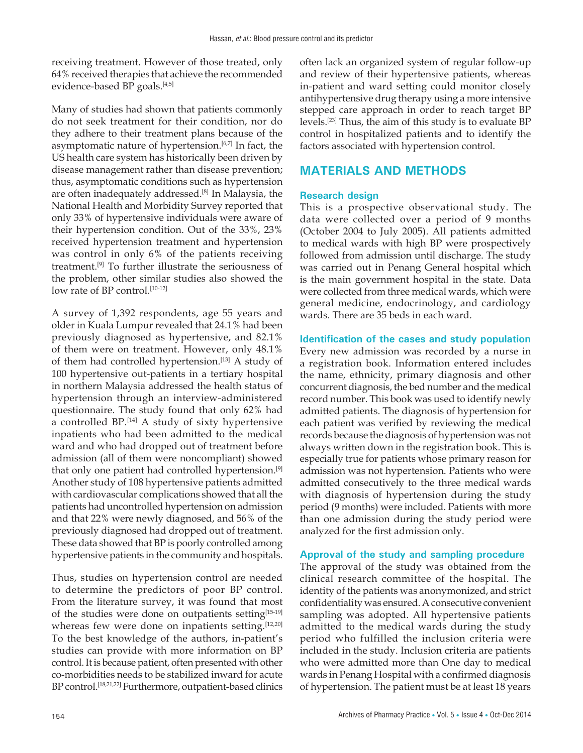receiving treatment. However of those treated, only 64% received therapies that achieve the recommended evidence-based BP goals.<sup>[4,5]</sup>

Many of studies had shown that patients commonly do not seek treatment for their condition, nor do they adhere to their treatment plans because of the asymptomatic nature of hypertension.<sup>[6,7]</sup> In fact, the US health care system has historically been driven by disease management rather than disease prevention; thus, asymptomatic conditions such as hypertension are often inadequately addressed.[8] In Malaysia, the National Health and Morbidity Survey reported that only 33% of hypertensive individuals were aware of their hypertension condition. Out of the 33%, 23% received hypertension treatment and hypertension was control in only 6% of the patients receiving treatment.[9] To further illustrate the seriousness of the problem, other similar studies also showed the low rate of BP control.<sup>[10-12]</sup>

A survey of 1,392 respondents, age 55 years and older in Kuala Lumpur revealed that 24.1% had been previously diagnosed as hypertensive, and 82.1% of them were on treatment. However, only 48.1% of them had controlled hypertension.<sup>[13]</sup> A study of 100 hypertensive out-patients in a tertiary hospital in northern Malaysia addressed the health status of hypertension through an interview-administered questionnaire. The study found that only 62% had a controlled  $BP$ .<sup>[14]</sup> A study of sixty hypertensive inpatients who had been admitted to the medical ward and who had dropped out of treatment before admission (all of them were noncompliant) showed that only one patient had controlled hypertension.<sup>[9]</sup> Another study of 108 hypertensive patients admitted with cardiovascular complications showed that all the patients had uncontrolled hypertension on admission and that 22% were newly diagnosed, and 56% of the previously diagnosed had dropped out of treatment. These data showed that BP is poorly controlled among hypertensive patients in the community and hospitals.

Thus, studies on hypertension control are needed to determine the predictors of poor BP control. From the literature survey, it was found that most of the studies were done on outpatients setting[15-19] whereas few were done on inpatients setting.<sup>[12,20]</sup> To the best knowledge of the authors, in-patient's studies can provide with more information on BP control. It is because patient, often presented with other co-morbidities needs to be stabilized inward for acute BP control.[18,21,22] Furthermore, outpatient-based clinics

often lack an organized system of regular follow-up and review of their hypertensive patients, whereas in-patient and ward setting could monitor closely antihypertensive drug therapy using a more intensive stepped care approach in order to reach target BP levels.[23] Thus, the aim of this study is to evaluate BP control in hospitalized patients and to identify the factors associated with hypertension control.

# **MATERIALS AND METHODS**

## **Research design**

This is a prospective observational study. The data were collected over a period of 9 months (October 2004 to July 2005). All patients admitted to medical wards with high BP were prospectively followed from admission until discharge. The study was carried out in Penang General hospital which is the main government hospital in the state. Data were collected from three medical wards, which were general medicine, endocrinology, and cardiology wards. There are 35 beds in each ward.

#### **Identification of the cases and study population**

Every new admission was recorded by a nurse in a registration book. Information entered includes the name, ethnicity, primary diagnosis and other concurrent diagnosis, the bed number and the medical record number. This book was used to identify newly admitted patients. The diagnosis of hypertension for each patient was verified by reviewing the medical records because the diagnosis of hypertension was not always written down in the registration book. This is especially true for patients whose primary reason for admission was not hypertension. Patients who were admitted consecutively to the three medical wards with diagnosis of hypertension during the study period (9 months) were included. Patients with more than one admission during the study period were analyzed for the first admission only.

#### **Approval of the study and sampling procedure**

The approval of the study was obtained from the clinical research committee of the hospital. The identity of the patients was anonymonized, and strict confidentiality was ensured. A consecutive convenient sampling was adopted. All hypertensive patients admitted to the medical wards during the study period who fulfilled the inclusion criteria were included in the study. Inclusion criteria are patients who were admitted more than One day to medical wards in Penang Hospital with a confirmed diagnosis of hypertension. The patient must be at least 18 years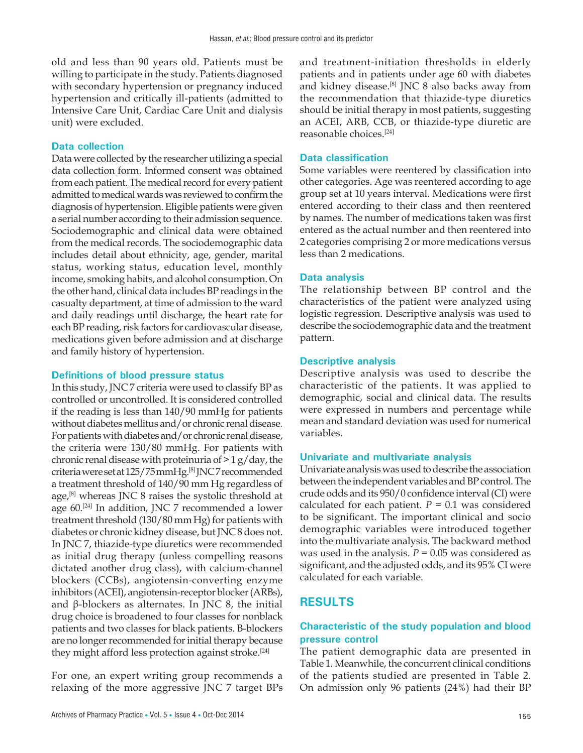old and less than 90 years old. Patients must be willing to participate in the study. Patients diagnosed with secondary hypertension or pregnancy induced hypertension and critically ill-patients (admitted to Intensive Care Unit, Cardiac Care Unit and dialysis unit) were excluded.

## **Data collection**

Data were collected by the researcher utilizing a special data collection form. Informed consent was obtained from each patient. The medical record for every patient admitted to medical wards was reviewed to confirm the diagnosis of hypertension. Eligible patients were given a serial number according to their admission sequence. Sociodemographic and clinical data were obtained from the medical records. The sociodemographic data includes detail about ethnicity, age, gender, marital status, working status, education level, monthly income, smoking habits, and alcohol consumption. On the other hand, clinical data includes BP readings in the casualty department, at time of admission to the ward and daily readings until discharge, the heart rate for each BP reading, risk factors for cardiovascular disease, medications given before admission and at discharge and family history of hypertension.

#### **Definitions of blood pressure status**

In this study, JNC 7 criteria were used to classify BP as controlled or uncontrolled. It is considered controlled if the reading is less than 140/90 mmHg for patients without diabetes mellitus and/or chronic renal disease. For patients with diabetes and/or chronic renal disease, the criteria were 130/80 mmHg. For patients with chronic renal disease with proteinuria of  $> 1 g/day$ , the criteria were set at 125/75 mmHg.[8] JNC 7 recommended a treatment threshold of 140/90 mm Hg regardless of age,<sup>[8]</sup> whereas JNC 8 raises the systolic threshold at age 60.<sup>[24]</sup> In addition, JNC 7 recommended a lower treatment threshold (130/80 mm Hg) for patients with diabetes or chronic kidney disease, but JNC 8 does not. In JNC 7, thiazide-type diuretics were recommended as initial drug therapy (unless compelling reasons dictated another drug class), with calcium-channel blockers (CCBs), angiotensin-converting enzyme inhibitors (ACEI), angiotensin-receptor blocker (ARBs), and β-blockers as alternates. In JNC 8, the initial drug choice is broadened to four classes for nonblack patients and two classes for black patients. Β‑blockers are no longer recommended for initial therapy because they might afford less protection against stroke.[24]

For one, an expert writing group recommends a relaxing of the more aggressive JNC 7 target BPs and treatment-initiation thresholds in elderly patients and in patients under age 60 with diabetes and kidney disease.<sup>[8]</sup> JNC 8 also backs away from the recommendation that thiazide-type diuretics should be initial therapy in most patients, suggesting an ACEI, ARB, CCB, or thiazide-type diuretic are reasonable choices.[24]

#### **Data classification**

Some variables were reentered by classification into other categories. Age was reentered according to age group set at 10 years interval. Medications were first entered according to their class and then reentered by names. The number of medications taken was first entered as the actual number and then reentered into 2 categories comprising 2 or more medications versus less than 2 medications.

## **Data analysis**

The relationship between BP control and the characteristics of the patient were analyzed using logistic regression. Descriptive analysis was used to describe the sociodemographic data and the treatment pattern.

## **Descriptive analysis**

Descriptive analysis was used to describe the characteristic of the patients. It was applied to demographic, social and clinical data. The results were expressed in numbers and percentage while mean and standard deviation was used for numerical variables.

#### **Univariate and multivariate analysis**

Univariate analysis was used to describe the association between the independent variables and BP control. The crude odds and its 950/0 confidence interval (CI) were calculated for each patient.  $P = 0.1$  was considered to be significant. The important clinical and socio demographic variables were introduced together into the multivariate analysis. The backward method was used in the analysis.  $P = 0.05$  was considered as significant, and the adjusted odds, and its 95% CI were calculated for each variable.

# **RESULTS**

## **Characteristic of the study population and blood pressure control**

The patient demographic data are presented in Table 1. Meanwhile, the concurrent clinical conditions of the patients studied are presented in Table 2. On admission only 96 patients (24%) had their BP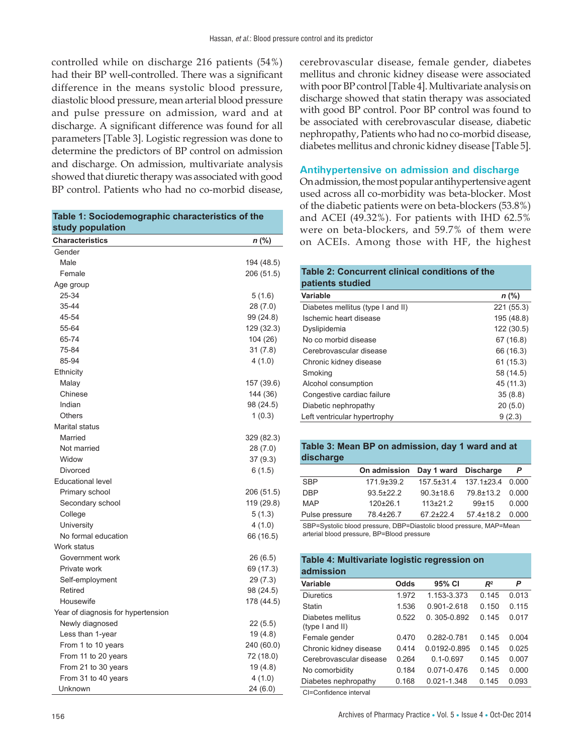controlled while on discharge 216 patients (54%) had their BP well-controlled. There was a significant difference in the means systolic blood pressure, diastolic blood pressure, mean arterial blood pressure and pulse pressure on admission, ward and at discharge. A significant difference was found for all parameters [Table 3]. Logistic regression was done to determine the predictors of BP control on admission and discharge. On admission, multivariate analysis showed that diuretic therapy was associated with good BP control. Patients who had no co-morbid disease,

**Table 1: Sociodemographic characteristics of the study population**

| <b>Characteristics</b>             | n (%)      |
|------------------------------------|------------|
| Gender                             |            |
| Male                               | 194 (48.5) |
| Female                             | 206 (51.5) |
| Age group                          |            |
| 25-34                              | 5 (1.6)    |
| 35-44                              | 28 (7.0)   |
| 45-54                              | 99 (24.8)  |
| 55-64                              | 129 (32.3) |
| 65-74                              | 104 (26)   |
| 75-84                              | 31(7.8)    |
| 85-94                              | 4(1.0)     |
| Ethnicity                          |            |
| Malay                              | 157 (39.6) |
| Chinese                            | 144 (36)   |
| Indian                             | 98 (24.5)  |
| <b>Others</b>                      | 1(0.3)     |
| <b>Marital status</b>              |            |
| Married                            | 329 (82.3) |
| Not married                        | 28 (7.0)   |
| Widow                              | 37 (9.3)   |
| <b>Divorced</b>                    | 6(1.5)     |
| <b>Educational level</b>           |            |
| Primary school                     | 206 (51.5) |
| Secondary school                   | 119 (29.8) |
| College                            | 5(1.3)     |
| University                         | 4(1.0)     |
| No formal education                | 66 (16.5)  |
| Work status                        |            |
| Government work                    | 26 (6.5)   |
| Private work                       | 69 (17.3)  |
| Self-employment                    | 29 (7.3)   |
| Retired                            | 98 (24.5)  |
| Housewife                          | 178 (44.5) |
| Year of diagnosis for hypertension |            |
| Newly diagnosed                    | 22(5.5)    |
| Less than 1-year                   | 19 (4.8)   |
| From 1 to 10 years                 | 240 (60.0) |
| From 11 to 20 years                | 72 (18.0)  |
| From 21 to 30 years                | 19(4.8)    |
| From 31 to 40 years                | 4(1.0)     |
| Unknown                            | 24 (6.0)   |

cerebrovascular disease, female gender, diabetes mellitus and chronic kidney disease were associated with poor BP control [Table 4]. Multivariate analysis on discharge showed that statin therapy was associated with good BP control. Poor BP control was found to be associated with cerebrovascular disease, diabetic nephropathy, Patients who had no co-morbid disease, diabetes mellitus and chronic kidney disease [Table 5].

## **Antihypertensive on admission and discharge**

On admission, the most popular antihypertensive agent used across all co-morbidity was beta-blocker. Most of the diabetic patients were on beta-blockers (53.8%) and ACEI (49.32%). For patients with IHD 62.5% were on beta-blockers, and 59.7% of them were on ACEIs. Among those with HF, the highest

## **Table 2: Concurrent clinical conditions of the patients studied**

| Variable                          | $n$ (%)    |
|-----------------------------------|------------|
| Diabetes mellitus (type I and II) | 221 (55.3) |
| Ischemic heart disease            | 195 (48.8) |
| Dyslipidemia                      | 122 (30.5) |
| No co morbid disease              | 67 (16.8)  |
| Cerebrovascular disease           | 66 (16.3)  |
| Chronic kidney disease            | 61 (15.3)  |
| Smoking                           | 58 (14.5)  |
| Alcohol consumption               | 45 (11.3)  |
| Congestive cardiac failure        | 35(8.8)    |
| Diabetic nephropathy              | 20(5.0)    |
| Left ventricular hypertrophy      | 9(2.3)     |

#### **Table 3: Mean BP on admission, day 1 ward and at discharge**

|                | On admission     | Day 1 ward Discharge |                             | P     |
|----------------|------------------|----------------------|-----------------------------|-------|
| <b>SBP</b>     | $171.9 \pm 39.2$ |                      | 157.5±31.4 137.1±23.4 0.000 |       |
| <b>DBP</b>     | $93.5 \pm 22.2$  | $90.3 \pm 18.6$      | 79.8±13.2                   |       |
| <b>MAP</b>     | $120\pm 26.1$    | $113+21.2$           | $99+15$                     | 0.000 |
| Pulse pressure | 78.4±26.7        | 67 2+22 4            | $57.4 \pm 18.2$             | 0.000 |
|                |                  |                      |                             |       |

SBP=Systolic blood pressure, DBP=Diastolic blood pressure, MAP=Mean arterial blood pressure, BP=Blood pressure

## **Table 4: Multivariate logistic regression on admission**

| Variable                             | Odds  | 95% CI          | R <sup>2</sup> | P     |
|--------------------------------------|-------|-----------------|----------------|-------|
| <b>Diuretics</b>                     | 1.972 | 1.153-3.373     | 0.145          | 0.013 |
| Statin                               | 1.536 | 0.901-2.618     | 0.150          | 0.115 |
| Diabetes mellitus<br>(type I and II) | 0.522 | $0.305 - 0.892$ | 0.145          | 0.017 |
| Female gender                        | 0.470 | 0.282-0.781     | 0.145          | 0.004 |
| Chronic kidney disease               | 0.414 | 0.0192-0.895    | 0.145          | 0.025 |
| Cerebrovascular disease              | 0.264 | $0.1 - 0.697$   | 0.145          | 0.007 |
| No comorbidity                       | 0.184 | 0 071-0 476     | 0.145          | 0.000 |
| Diabetes nephropathy                 | 0.168 | $0.021 - 1.348$ | 0.145          | 0.093 |
|                                      |       |                 |                |       |

CI=Confidence interval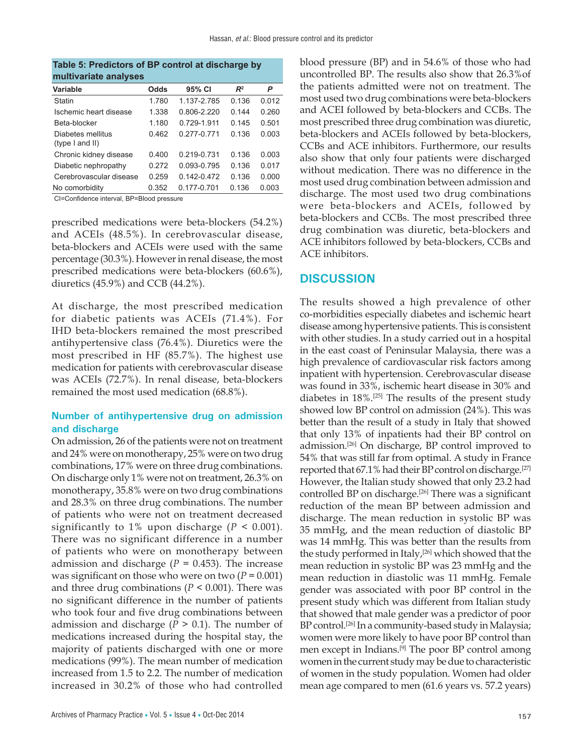| multivariate analyses                |       |                 |       |       |
|--------------------------------------|-------|-----------------|-------|-------|
| <b>Variable</b>                      | Odds  | 95% CI          | $R^2$ | P     |
| Statin                               | 1.780 | 1.137-2.785     | 0.136 | 0.012 |
| Ischemic heart disease               | 1.338 | 0.806-2.220     | 0.144 | 0.260 |
| Beta-blocker                         | 1.180 | 0.729-1.911     | 0.145 | 0.501 |
| Diabetes mellitus<br>(type I and II) | 0.462 | 0.277-0.771     | 0.136 | 0.003 |
| Chronic kidney disease               | 0.400 | 0.219-0.731     | 0.136 | 0.003 |
| Diabetic nephropathy                 | 0.272 | 0.093-0.795     | 0.136 | 0.017 |
| Cerebrovascular disease              | 0.259 | $0.142 - 0.472$ | 0.136 | 0.000 |
| No comorbidity                       | 0.352 | 0.177-0.701     | 0.136 | 0.003 |
|                                      |       |                 |       |       |

**Table 5: Predictors of BP control at discharge by multivariate analyses**

CI=Confidence interval, BP=Blood pressure

prescribed medications were beta-blockers (54.2%) and ACEIs (48.5%). In cerebrovascular disease, beta-blockers and ACEIs were used with the same percentage (30.3%). However in renal disease, the most prescribed medications were beta-blockers (60.6%), diuretics (45.9%) and CCB (44.2%).

At discharge, the most prescribed medication for diabetic patients was ACEIs (71.4%). For IHD beta-blockers remained the most prescribed antihypertensive class (76.4%). Diuretics were the most prescribed in HF (85.7%). The highest use medication for patients with cerebrovascular disease was ACEIs (72.7%). In renal disease, beta-blockers remained the most used medication (68.8%).

## **Number of antihypertensive drug on admission and discharge**

On admission, 26 of the patients were not on treatment and 24% were on monotherapy, 25% were on two drug combinations, 17% were on three drug combinations. On discharge only 1% were not on treatment, 26.3% on monotherapy, 35.8% were on two drug combinations and 28.3% on three drug combinations. The number of patients who were not on treatment decreased significantly to 1% upon discharge  $(P < 0.001)$ . There was no significant difference in a number of patients who were on monotherapy between admission and discharge  $(P = 0.453)$ . The increase was significant on those who were on two  $(P = 0.001)$ and three drug combinations ( $P < 0.001$ ). There was no significant difference in the number of patients who took four and five drug combinations between admission and discharge  $(P > 0.1)$ . The number of medications increased during the hospital stay, the majority of patients discharged with one or more medications (99%). The mean number of medication increased from 1.5 to 2.2. The number of medication increased in 30.2% of those who had controlled

blood pressure (BP) and in 54.6% of those who had uncontrolled BP. The results also show that 26.3%of the patients admitted were not on treatment. The most used two drug combinations were beta-blockers and ACEI followed by beta-blockers and CCBs. The most prescribed three drug combination was diuretic, beta-blockers and ACEIs followed by beta-blockers, CCBs and ACE inhibitors. Furthermore, our results also show that only four patients were discharged without medication. There was no difference in the most used drug combination between admission and discharge. The most used two drug combinations were beta-blockers and ACEIs, followed by beta-blockers and CCBs. The most prescribed three drug combination was diuretic, beta-blockers and ACE inhibitors followed by beta-blockers, CCBs and ACE inhibitors.

# **DISCUSSION**

The results showed a high prevalence of other co-morbidities especially diabetes and ischemic heart disease among hypertensive patients. This is consistent with other studies. In a study carried out in a hospital in the east coast of Peninsular Malaysia, there was a high prevalence of cardiovascular risk factors among inpatient with hypertension. Cerebrovascular disease was found in 33%, ischemic heart disease in 30% and diabetes in 18%.[25] The results of the present study showed low BP control on admission (24%). This was better than the result of a study in Italy that showed that only 13% of inpatients had their BP control on admission.[26] On discharge, BP control improved to 54% that was still far from optimal. A study in France reported that 67.1% had their BP control on discharge.[27] However, the Italian study showed that only 23.2 had controlled BP on discharge.[26] There was a significant reduction of the mean BP between admission and discharge. The mean reduction in systolic BP was 35 mmHg, and the mean reduction of diastolic BP was 14 mmHg. This was better than the results from the study performed in Italy,<sup>[26]</sup> which showed that the mean reduction in systolic BP was 23 mmHg and the mean reduction in diastolic was 11 mmHg. Female gender was associated with poor BP control in the present study which was different from Italian study that showed that male gender was a predictor of poor BP control.<sup>[26]</sup> In a community-based study in Malaysia; women were more likely to have poor BP control than men except in Indians.[9] The poor BP control among women in the current study may be due to characteristic of women in the study population. Women had older mean age compared to men (61.6 years vs. 57.2 years)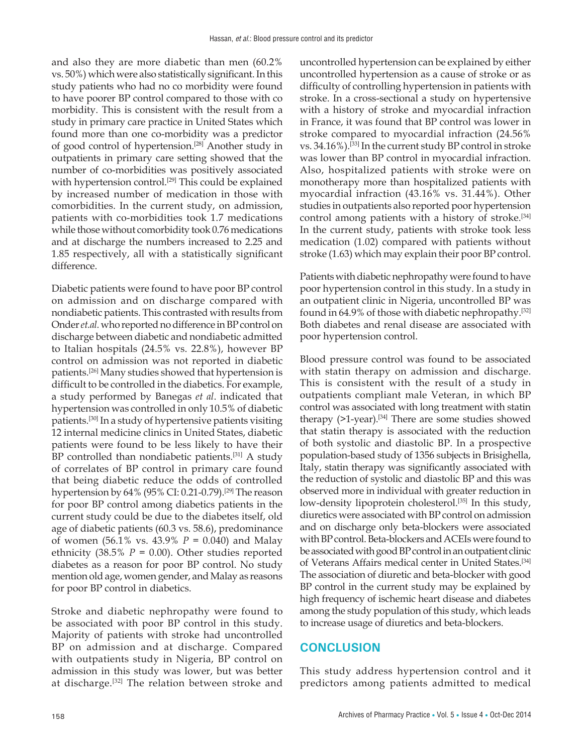and also they are more diabetic than men (60.2% vs. 50%) which were also statistically significant. In this study patients who had no co morbidity were found to have poorer BP control compared to those with co morbidity. This is consistent with the result from a study in primary care practice in United States which found more than one co-morbidity was a predictor of good control of hypertension.[28] Another study in outpatients in primary care setting showed that the number of co-morbidities was positively associated with hypertension control.<sup>[29]</sup> This could be explained by increased number of medication in those with comorbidities. In the current study, on admission, patients with co-morbidities took 1.7 medications while those without comorbidity took 0.76 medications and at discharge the numbers increased to 2.25 and 1.85 respectively, all with a statistically significant difference.

Diabetic patients were found to have poor BP control on admission and on discharge compared with nondiabetic patients. This contrasted with results from Onder *et.al.* who reported no difference in BP control on discharge between diabetic and nondiabetic admitted to Italian hospitals (24.5% vs. 22.8%), however BP control on admission was not reported in diabetic patients.[26] Many studies showed that hypertension is difficult to be controlled in the diabetics. For example, a study performed by Banegas *et al*. indicated that hypertension was controlled in only 10.5% of diabetic patients.[30] In a study of hypertensive patients visiting 12 internal medicine clinics in United States, diabetic patients were found to be less likely to have their BP controlled than nondiabetic patients.<sup>[31]</sup> A study of correlates of BP control in primary care found that being diabetic reduce the odds of controlled hypertension by 64% (95% CI: 0.21-0.79).<sup>[29]</sup> The reason for poor BP control among diabetics patients in the current study could be due to the diabetes itself, old age of diabetic patients (60.3 vs. 58.6), predominance of women (56.1% vs. 43.9% *P* = 0.040) and Malay ethnicity (38.5%  $P = 0.00$ ). Other studies reported diabetes as a reason for poor BP control. No study mention old age, women gender, and Malay as reasons for poor BP control in diabetics.

Stroke and diabetic nephropathy were found to be associated with poor BP control in this study. Majority of patients with stroke had uncontrolled BP on admission and at discharge. Compared with outpatients study in Nigeria, BP control on admission in this study was lower, but was better at discharge.[32] The relation between stroke and uncontrolled hypertension can be explained by either uncontrolled hypertension as a cause of stroke or as difficulty of controlling hypertension in patients with stroke. In a cross-sectional a study on hypertensive with a history of stroke and myocardial infraction in France, it was found that BP control was lower in stroke compared to myocardial infraction (24.56% vs. 34.16%).[33] In the current study BP control in stroke was lower than BP control in myocardial infraction. Also, hospitalized patients with stroke were on monotherapy more than hospitalized patients with myocardial infraction (43.16% vs. 31.44%). Other studies in outpatients also reported poor hypertension control among patients with a history of stroke.[34] In the current study, patients with stroke took less medication (1.02) compared with patients without stroke (1.63) which may explain their poor BP control.

Patients with diabetic nephropathy were found to have poor hypertension control in this study. In a study in an outpatient clinic in Nigeria, uncontrolled BP was found in 64.9% of those with diabetic nephropathy.[32] Both diabetes and renal disease are associated with poor hypertension control.

Blood pressure control was found to be associated with statin therapy on admission and discharge. This is consistent with the result of a study in outpatients compliant male Veteran, in which BP control was associated with long treatment with statin therapy  $(>1$ -year).<sup>[34]</sup> There are some studies showed that statin therapy is associated with the reduction of both systolic and diastolic BP. In a prospective population-based study of 1356 subjects in Brisighella, Italy, statin therapy was significantly associated with the reduction of systolic and diastolic BP and this was observed more in individual with greater reduction in low-density lipoprotein cholesterol.<sup>[35]</sup> In this study, diuretics were associated with BP control on admission and on discharge only beta-blockers were associated with BP control. Beta-blockers and ACEIs were found to be associated with good BP control in an outpatient clinic of Veterans Affairs medical center in United States.[34] The association of diuretic and beta-blocker with good BP control in the current study may be explained by high frequency of ischemic heart disease and diabetes among the study population of this study, which leads to increase usage of diuretics and beta-blockers.

# **CONCLUSION**

This study address hypertension control and it predictors among patients admitted to medical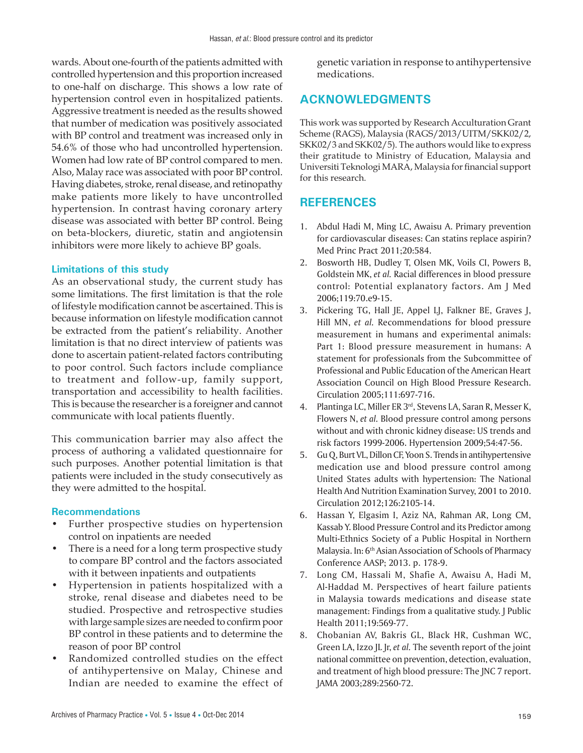wards. About one-fourth of the patients admitted with controlled hypertension and this proportion increased to one-half on discharge. This shows a low rate of hypertension control even in hospitalized patients. Aggressive treatment is needed as the results showed that number of medication was positively associated with BP control and treatment was increased only in 54.6% of those who had uncontrolled hypertension. Women had low rate of BP control compared to men. Also, Malay race was associated with poor BP control. Having diabetes, stroke, renal disease, and retinopathy make patients more likely to have uncontrolled hypertension. In contrast having coronary artery disease was associated with better BP control. Being on beta-blockers, diuretic, statin and angiotensin inhibitors were more likely to achieve BP goals.

## **Limitations of this study**

As an observational study, the current study has some limitations. The first limitation is that the role of lifestyle modification cannot be ascertained. This is because information on lifestyle modification cannot be extracted from the patient's reliability. Another limitation is that no direct interview of patients was done to ascertain patient-related factors contributing to poor control. Such factors include compliance to treatment and follow-up, family support, transportation and accessibility to health facilities. This is because the researcher is a foreigner and cannot communicate with local patients fluently.

This communication barrier may also affect the process of authoring a validated questionnaire for such purposes. Another potential limitation is that patients were included in the study consecutively as they were admitted to the hospital.

## **Recommendations**

- Further prospective studies on hypertension control on inpatients are needed
- There is a need for a long term prospective study to compare BP control and the factors associated with it between inpatients and outpatients
- Hypertension in patients hospitalized with a stroke, renal disease and diabetes need to be studied. Prospective and retrospective studies with large sample sizes are needed to confirm poor BP control in these patients and to determine the reason of poor BP control
- Randomized controlled studies on the effect of antihypertensive on Malay, Chinese and Indian are needed to examine the effect of

genetic variation in response to antihypertensive medications.

# **ACKNOWLEDGMENTS**

This work was supported by Research Acculturation Grant Scheme (RAGS), Malaysia (RAGS/2013/UITM/SKK02/2, SKK02/3 and SKK02/5). The authors would like to express their gratitude to Ministry of Education, Malaysia and Universiti Teknologi MARA, Malaysia for financial support for this research.

# **REFERENCES**

- 1. Abdul Hadi M, Ming LC, Awaisu A. Primary prevention for cardiovascular diseases: Can statins replace aspirin? Med Princ Pract 2011;20:584.
- 2. Bosworth HB, Dudley T, Olsen MK, Voils CI, Powers B, Goldstein MK, *et al.* Racial differences in blood pressure control: Potential explanatory factors. Am J Med 2006;119:70.e9‑15.
- 3. Pickering TG, Hall JE, Appel LJ, Falkner BE, Graves J, Hill MN, *et al.* Recommendations for blood pressure measurement in humans and experimental animals: Part 1: Blood pressure measurement in humans: A statement for professionals from the Subcommittee of Professional and Public Education of the American Heart Association Council on High Blood Pressure Research. Circulation 2005;111:697‑716.
- 4. Plantinga LC, Miller ER 3rd, Stevens LA, Saran R, Messer K, Flowers N, *et al.* Blood pressure control among persons without and with chronic kidney disease: US trends and risk factors 1999‑2006. Hypertension 2009;54:47‑56.
- 5. Gu Q, Burt VL, Dillon CF, Yoon S. Trends in antihypertensive medication use and blood pressure control among United States adults with hypertension: The National Health And Nutrition Examination Survey, 2001 to 2010. Circulation 2012;126:2105‑14.
- 6. Hassan Y, Elgasim I, Aziz NA, Rahman AR, Long CM, Kassab Y. Blood Pressure Control and its Predictor among Multi‑Ethnics Society of a Public Hospital in Northern Malaysia. In: 6<sup>th</sup> Asian Association of Schools of Pharmacy Conference AASP; 2013. p. 178‑9.
- 7. Long CM, Hassali M, Shafie A, Awaisu A, Hadi M, Al‑Haddad M. Perspectives of heart failure patients in Malaysia towards medications and disease state management: Findings from a qualitative study. J Public Health 2011;19:569‑77.
- 8. Chobanian AV, Bakris GL, Black HR, Cushman WC, Green LA, Izzo JL Jr, *et al.* The seventh report of the joint national committee on prevention, detection, evaluation, and treatment of high blood pressure: The JNC 7 report. JAMA 2003;289:2560‑72.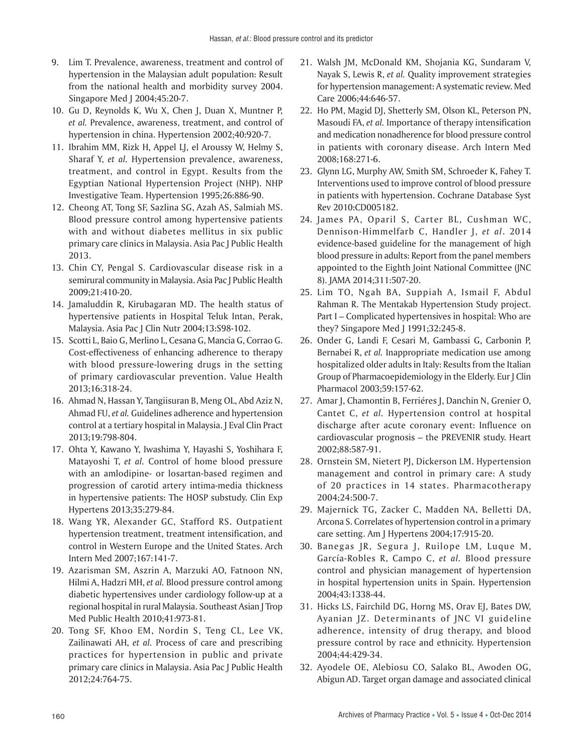- 9. Lim T. Prevalence, awareness, treatment and control of hypertension in the Malaysian adult population: Result from the national health and morbidity survey 2004. Singapore Med J 2004;45:20-7.
- 10. Gu D, Reynolds K, Wu X, Chen J, Duan X, Muntner P, *et al.* Prevalence, awareness, treatment, and control of hypertension in china. Hypertension 2002;40:920-7.
- 11. Ibrahim MM, Rizk H, Appel LJ, el Aroussy W, Helmy S, Sharaf Y, *et al.* Hypertension prevalence, awareness, treatment, and control in Egypt. Results from the Egyptian National Hypertension Project (NHP). NHP Investigative Team. Hypertension 1995;26:886‑90.
- 12. Cheong AT, Tong SF, Sazlina SG, Azah AS, Salmiah MS. Blood pressure control among hypertensive patients with and without diabetes mellitus in six public primary care clinics in Malaysia. Asia Pac J Public Health 2013.
- 13. Chin CY, Pengal S. Cardiovascular disease risk in a semirural community in Malaysia. Asia Pac J Public Health 2009;21:410‑20.
- 14. Jamaluddin R, Kirubagaran MD. The health status of hypertensive patients in Hospital Teluk Intan, Perak, Malaysia. Asia Pac J Clin Nutr 2004;13:S98-102.
- 15. Scotti L, Baio G, Merlino L, Cesana G, Mancia G, Corrao G. Cost‑effectiveness of enhancing adherence to therapy with blood pressure-lowering drugs in the setting of primary cardiovascular prevention. Value Health 2013;16:318‑24.
- 16. Ahmad N, Hassan Y, Tangiisuran B, Meng OL, Abd Aziz N, Ahmad FU, *et al.* Guidelines adherence and hypertension control at a tertiary hospital in Malaysia. J Eval Clin Pract 2013;19:798‑804.
- 17. Ohta Y, Kawano Y, Iwashima Y, Hayashi S, Yoshihara F, Matayoshi T, *et al.* Control of home blood pressure with an amlodipine- or losartan-based regimen and progression of carotid artery intima-media thickness in hypertensive patients: The HOSP substudy. Clin Exp Hypertens 2013;35:279‑84.
- 18. Wang YR, Alexander GC, Stafford RS. Outpatient hypertension treatment, treatment intensification, and control in Western Europe and the United States. Arch Intern Med 2007;167:141‑7.
- 19. Azarisman SM, Aszrin A, Marzuki AO, Fatnoon NN, Hilmi A, Hadzri MH, *et al.* Blood pressure control among diabetic hypertensives under cardiology follow‑up at a regional hospital in rural Malaysia. Southeast Asian J Trop Med Public Health 2010;41:973‑81.
- 20. Tong SF, Khoo EM, Nordin S, Teng CL, Lee VK, Zailinawati AH, *et al.* Process of care and prescribing practices for hypertension in public and private primary care clinics in Malaysia. Asia Pac J Public Health 2012;24:764‑75.
- 21. Walsh JM, McDonald KM, Shojania KG, Sundaram V, Nayak S, Lewis R, *et al.* Quality improvement strategies for hypertension management: A systematic review. Med Care 2006;44:646-57.
- 22. Ho PM, Magid DJ, Shetterly SM, Olson KL, Peterson PN, Masoudi FA, *et al.* Importance of therapy intensification and medication nonadherence for blood pressure control in patients with coronary disease. Arch Intern Med 2008;168:271‑6.
- 23. Glynn LG, Murphy AW, Smith SM, Schroeder K, Fahey T. Interventions used to improve control of blood pressure in patients with hypertension. Cochrane Database Syst Rev 2010:CD005182.
- 24. James PA, Oparil S, Carter BL, Cushman WC, Dennison‑Himmelfarb C, Handler J, *et al*. 2014 evidence‑based guideline for the management of high blood pressure in adults: Report from the panel members appointed to the Eighth Joint National Committee (JNC 8). JAMA 2014;311:507‑20.
- 25. Lim TO, Ngah BA, Suppiah A, Ismail F, Abdul Rahman R. The Mentakab Hypertension Study project. Part I – Complicated hypertensives in hospital: Who are they? Singapore Med | 1991;32:245-8.
- 26. Onder G, Landi F, Cesari M, Gambassi G, Carbonin P, Bernabei R, *et al.* Inappropriate medication use among hospitalized older adults in Italy: Results from the Italian Group of Pharmacoepidemiology in the Elderly. Eur J Clin Pharmacol 2003;59:157‑62.
- 27. Amar J, Chamontin B, Ferriéres J, Danchin N, Grenier O, Cantet C, *et al.* Hypertension control at hospital discharge after acute coronary event: Influence on cardiovascular prognosis – the PREVENIR study. Heart 2002;88:587‑91.
- 28. Ornstein SM, Nietert PJ, Dickerson LM. Hypertension management and control in primary care: A study of 20 practices in 14 states. Pharmacotherapy 2004;24:500‑7.
- 29. Majernick TG, Zacker C, Madden NA, Belletti DA, Arcona S. Correlates of hypertension control in a primary care setting. Am J Hypertens 2004;17:915-20.
- 30. Banegas JR, Segura J, Ruilope LM, Luque M, García‑Robles R, Campo C, *et al.* Blood pressure control and physician management of hypertension in hospital hypertension units in Spain. Hypertension 2004;43:1338‑44.
- 31. Hicks LS, Fairchild DG, Horng MS, Orav EJ, Bates DW, Ayanian JZ. Determinants of JNC VI guideline adherence, intensity of drug therapy, and blood pressure control by race and ethnicity. Hypertension 2004;44:429‑34.
- 32. Ayodele OE, Alebiosu CO, Salako BL, Awoden OG, Abigun AD. Target organ damage and associated clinical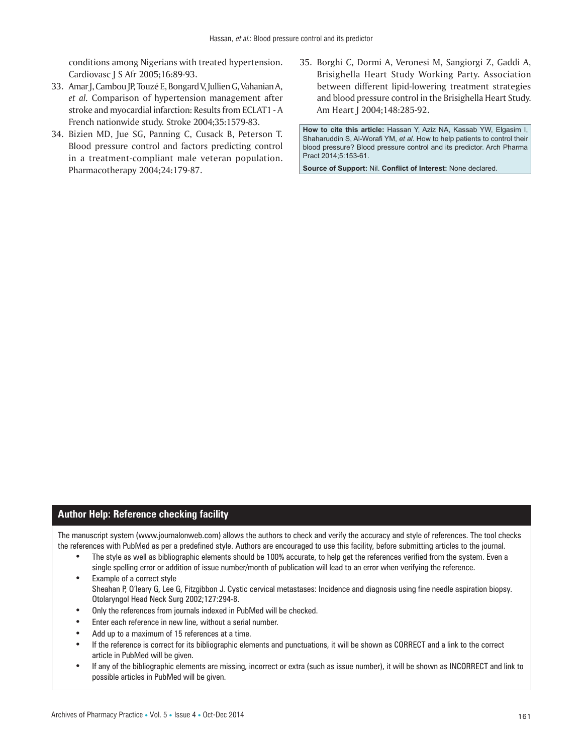conditions among Nigerians with treated hypertension. Cardiovasc J S Afr 2005;16:89‑93.

- 33. Amar J, Cambou JP, Touzé E, Bongard V, Jullien G, Vahanian A, *et al.* Comparison of hypertension management after stroke and myocardial infarction: Results from ECLAT1 ‑ A French nationwide study. Stroke 2004;35:1579‑83.
- 34. Bizien MD, Jue SG, Panning C, Cusack B, Peterson T. Blood pressure control and factors predicting control in a treatment‑compliant male veteran population. Pharmacotherapy 2004;24:179‑87.
- 35. Borghi C, Dormi A, Veronesi M, Sangiorgi Z, Gaddi A, Brisighella Heart Study Working Party. Association between different lipid‑lowering treatment strategies and blood pressure control in the Brisighella Heart Study. Am Heart | 2004;148:285-92.

**How to cite this article:** Hassan Y, Aziz NA, Kassab YW, Elgasim I, Shaharuddin S, Al-Worafi YM, *et al*. How to help patients to control their blood pressure? Blood pressure control and its predictor. Arch Pharma Pract 2014;5:153-61.

**Source of Support:** Nil. **Conflict of Interest:** None declared.

## **Author Help: Reference checking facility**

The manuscript system (www.journalonweb.com) allows the authors to check and verify the accuracy and style of references. The tool checks the references with PubMed as per a predefined style. Authors are encouraged to use this facility, before submitting articles to the journal.

- The style as well as bibliographic elements should be 100% accurate, to help get the references verified from the system. Even a single spelling error or addition of issue number/month of publication will lead to an error when verifying the reference.
- Example of a correct style Sheahan P, O'leary G, Lee G, Fitzgibbon J. Cystic cervical metastases: Incidence and diagnosis using fine needle aspiration biopsy. Otolaryngol Head Neck Surg 2002;127:294-8.
- Only the references from journals indexed in PubMed will be checked.
- Enter each reference in new line, without a serial number.
- Add up to a maximum of 15 references at a time.
- If the reference is correct for its bibliographic elements and punctuations, it will be shown as CORRECT and a link to the correct article in PubMed will be given.
- If any of the bibliographic elements are missing, incorrect or extra (such as issue number), it will be shown as INCORRECT and link to possible articles in PubMed will be given.